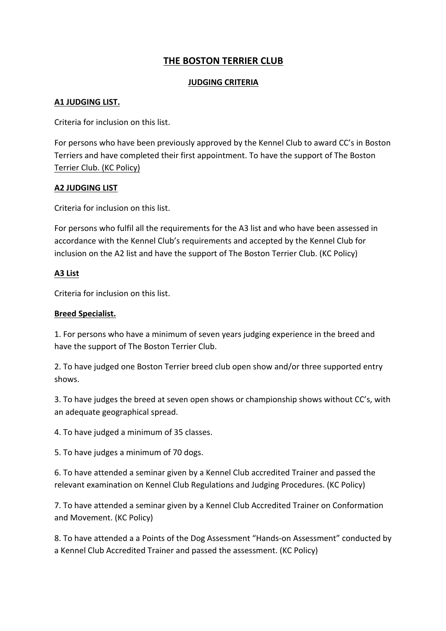# **THE BOSTON TERRIER CLUB**

### **JUDGING CRITERIA**

### **A1 JUDGING LIST.**

Criteria for inclusion on this list.

For persons who have been previously approved by the Kennel Club to award CC's in Boston Terriers and have completed their first appointment. To have the support of The Boston Terrier Club. (KC Policy)

#### **A2 JUDGING LIST**

Criteria for inclusion on this list.

For persons who fulfil all the requirements for the A3 list and who have been assessed in accordance with the Kennel Club's requirements and accepted by the Kennel Club for inclusion on the A2 list and have the support of The Boston Terrier Club. (KC Policy)

#### **A3 List**

Criteria for inclusion on this list.

#### **Breed Specialist.**

1. For persons who have a minimum of seven years judging experience in the breed and have the support of The Boston Terrier Club.

2. To have judged one Boston Terrier breed club open show and/or three supported entry shows.

3. To have judges the breed at seven open shows or championship shows without CC's, with an adequate geographical spread.

4. To have judged a minimum of 35 classes.

5. To have judges a minimum of 70 dogs.

6. To have attended a seminar given by a Kennel Club accredited Trainer and passed the relevant examination on Kennel Club Regulations and Judging Procedures. (KC Policy)

7. To have attended a seminar given by a Kennel Club Accredited Trainer on Conformation and Movement. (KC Policy)

8. To have attended a a Points of the Dog Assessment "Hands-on Assessment" conducted by a Kennel Club Accredited Trainer and passed the assessment. (KC Policy)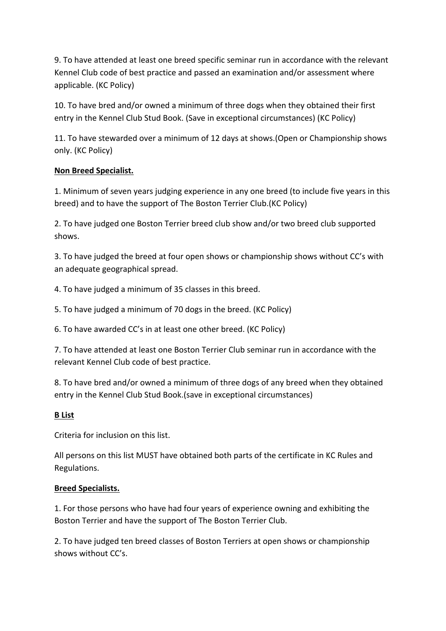9. To have attended at least one breed specific seminar run in accordance with the relevant Kennel Club code of best practice and passed an examination and/or assessment where applicable. (KC Policy)

10. To have bred and/or owned a minimum of three dogs when they obtained their first entry in the Kennel Club Stud Book. (Save in exceptional circumstances) (KC Policy)

11. To have stewarded over a minimum of 12 days at shows.(Open or Championship shows only. (KC Policy)

## **Non Breed Specialist.**

1. Minimum of seven years judging experience in any one breed (to include five years in this breed) and to have the support of The Boston Terrier Club.(KC Policy)

2. To have judged one Boston Terrier breed club show and/or two breed club supported shows.

3. To have judged the breed at four open shows or championship shows without CC's with an adequate geographical spread.

4. To have judged a minimum of 35 classes in this breed.

5. To have judged a minimum of 70 dogs in the breed. (KC Policy)

6. To have awarded CC's in at least one other breed. (KC Policy)

7. To have attended at least one Boston Terrier Club seminar run in accordance with the relevant Kennel Club code of best practice.

8. To have bred and/or owned a minimum of three dogs of any breed when they obtained entry in the Kennel Club Stud Book.(save in exceptional circumstances)

### **B List**

Criteria for inclusion on this list.

All persons on this list MUST have obtained both parts of the certificate in KC Rules and Regulations.

### **Breed Specialists.**

1. For those persons who have had four years of experience owning and exhibiting the Boston Terrier and have the support of The Boston Terrier Club.

2. To have judged ten breed classes of Boston Terriers at open shows or championship shows without CC's.